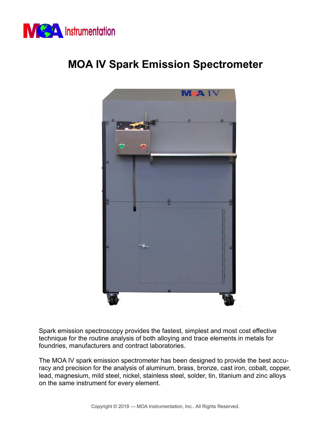

# **MOA IV Spark Emission Spectrometer**



Spark emission spectroscopy provides the fastest, simplest and most cost effective technique for the routine analysis of both alloying and trace elements in metals for foundries, manufacturers and contract laboratories.

The MOA IV spark emission spectrometer has been designed to provide the best accuracy and precision for the analysis of aluminum, brass, bronze, cast iron, cobalt, copper, lead, magnesium, mild steel, nickel, stainless steel, solder, tin, titanium and zinc alloys on the same instrument for every element.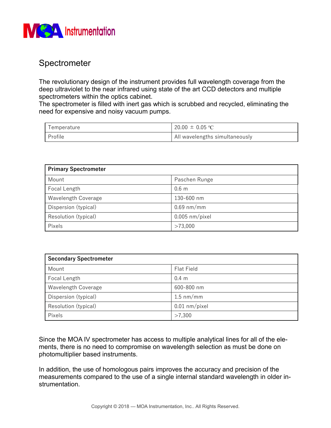

#### Spectrometer

The revolutionary design of the instrument provides full wavelength coverage from the deep ultraviolet to the near infrared using state of the art CCD detectors and multiple spectrometers within the optics cabinet.

The spectrometer is filled with inert gas which is scrubbed and recycled, eliminating the need for expensive and noisy vacuum pumps.

| emperature | 20.00 $\pm$ 0.05 °C            |  |  |
|------------|--------------------------------|--|--|
| Profile    | All wavelengths simultaneously |  |  |

| <b>Primary Spectrometer</b> |                  |  |  |
|-----------------------------|------------------|--|--|
| Mount                       | Paschen Runge    |  |  |
| Focal Length                | 0.6 <sub>m</sub> |  |  |
| Wavelength Coverage         | 130-600 nm       |  |  |
| Dispersion (typical)        | $0.69$ nm/mm     |  |  |
| Resolution (typical)        | $0.005$ nm/pixel |  |  |
| Pixels                      | >73,000          |  |  |

| <b>Secondary Spectrometer</b> |                     |  |  |
|-------------------------------|---------------------|--|--|
| Mount                         | Flat Field          |  |  |
| Focal Length                  | 0.4 <sub>m</sub>    |  |  |
| Wavelength Coverage           | 600-800 nm          |  |  |
| Dispersion (typical)          | $1.5 \text{ nm/mm}$ |  |  |
| Resolution (typical)          | $0.01$ nm/pixel     |  |  |
| Pixels                        | >7,300              |  |  |

Since the MOA IV spectrometer has access to multiple analytical lines for all of the elements, there is no need to compromise on wavelength selection as must be done on photomultiplier based instruments.

In addition, the use of homologous pairs improves the accuracy and precision of the measurements compared to the use of a single internal standard wavelength in older instrumentation.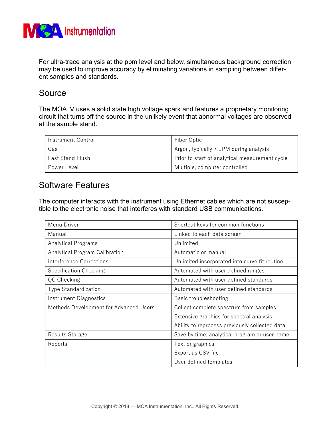

For ultra-trace analysis at the ppm level and below, simultaneous background correction may be used to improve accuracy by eliminating variations in sampling between different samples and standards.

#### Source

The MOA IV uses a solid state high voltage spark and features a proprietary monitoring circuit that turns off the source in the unlikely event that abnormal voltages are observed at the sample stand.

| Instrument Control      | Fiber Optic                                    |  |  |
|-------------------------|------------------------------------------------|--|--|
| Gas                     | Argon, typically 7 LPM during analysis         |  |  |
| <b>Fast Stand Flush</b> | Prior to start of analytical measurement cycle |  |  |
| Power Level             | Multiple, computer controlled                  |  |  |

### Software Features

The computer interacts with the instrument using Ethernet cables which are not susceptible to the electronic noise that interferes with standard USB communications.

| Menu Driven                            | Shortcut keys for common functions             |  |  |
|----------------------------------------|------------------------------------------------|--|--|
| Manual                                 | Linked to each data screen                     |  |  |
| <b>Analytical Programs</b>             | Unlimited                                      |  |  |
| Analytical Program Calibration         | Automatic or manual                            |  |  |
| Interference Corrections               | Unlimited incorporated into curve fit routine  |  |  |
| <b>Specification Checking</b>          | Automated with user defined ranges             |  |  |
| QC Checking                            | Automated with user defined standards          |  |  |
| <b>Type Standardization</b>            | Automated with user defined standards          |  |  |
| Instrument Diagnostics                 | Basic troubleshooting                          |  |  |
| Methods Development for Advanced Users | Collect complete spectrum from samples         |  |  |
|                                        | Extensive graphics for spectral analysis       |  |  |
|                                        | Ability to reprocess previously collected data |  |  |
| Results Storage                        | Save by time, analytical program or user name  |  |  |
| Reports                                | Text or graphics                               |  |  |
|                                        | Export as CSV file                             |  |  |
|                                        | User defined templates                         |  |  |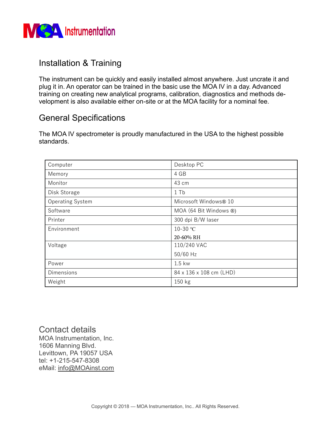

## Installation & Training

The instrument can be quickly and easily installed almost anywhere. Just uncrate it and plug it in. An operator can be trained in the basic use the MOA IV in a day. Advanced training on creating new analytical programs, calibration, diagnostics and methods development is also available either on-site or at the MOA facility for a nominal fee.

### General Specifications

The MOA IV spectrometer is proudly manufactured in the USA to the highest possible standards.

| Computer                | Desktop PC              |
|-------------------------|-------------------------|
| Memory                  | 4 GB                    |
| Monitor                 | 43 cm                   |
| Disk Storage            | $1$ Tb                  |
| <b>Operating System</b> | Microsoft Windows® 10   |
| Software                | MOA (64 Bit Windows ®)  |
| Printer                 | 300 dpi B/W laser       |
| Environment             | 10-30 °C                |
|                         | 20-60% RH               |
| Voltage                 | 110/240 VAC             |
|                         | 50/60 Hz                |
| Power                   | $1.5$ kw                |
| Dimensions              | 84 x 136 x 108 cm (LHD) |
| Weight                  | 150 kg                  |

#### Contact details

MOA Instrumentation, Inc. 1606 Manning Blvd. Levittown, PA 19057 USA tel: +1-215-547-8308 eMail: [info@MOAinst.com](mailto:info@MOAinst.com)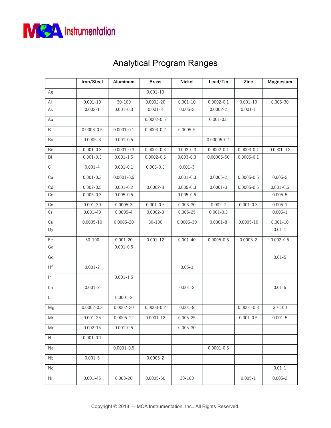

## Analytical Program Ranges

|                              | Iron/Steel     | Aluminum       | <b>Brass</b>   | <b>Nickel</b> | Lead/Tin        | Zinc           | Magnesium      |
|------------------------------|----------------|----------------|----------------|---------------|-----------------|----------------|----------------|
| Ag                           |                |                | $0.001 - 10$   |               |                 |                |                |
| $\mathsf{Al}\hspace{0.04cm}$ | $0.001 - 10$   | $30 - 100$     | $0.0002 - 20$  | $0.001 - 10$  | $0.0002 - 0.1$  | $0.001 - 10$   | $0.005 - 30$   |
| As                           | $0.002 - 1$    | $0.001 - 0.3$  | $0.001 - 3$    | $0.005 - 2$   | $0.0002 - 2$    | $0.001 - 1$    |                |
| Au                           |                |                | $0.0002 - 0.5$ |               | $0.001 - 0.5$   |                |                |
| B                            | $0.0003 - 0.5$ | $0.0001 - 0.1$ | $0.0003 - 0.2$ | $0.0005 - 5$  |                 |                |                |
| Ba                           | $0.0005 - 3$   | $0.001 - 0.5$  |                |               | $0.00005 - 0.1$ |                |                |
| Be                           | $0.001 - 0.3$  | $0.0001 - 0.3$ | $0.0001 - 0.3$ | $0.003 - 0.3$ | $0.0002 - 0.1$  | $0.0003 - 0.1$ | $0.0001 - 0.2$ |
| Bi                           | $0.001 - 0.3$  | $0.001 - 1.5$  | $0.0002 - 0.5$ | $0.003 - 0.3$ | 0.00005-50      | $0.0005 - 0.1$ |                |
| $\mathsf C$                  | $0.001 - 4$    | $0.001 - 0.1$  | $0.003 - 0.3$  | $0.001 - 3$   |                 |                |                |
| Ca                           | $0.001 - 0.3$  | $0.0001 - 0.5$ |                | $0.001 - 0.3$ | $0.0005 - 2$    | $0.0005 - 0.5$ | $0.005 - 2$    |
| Cd                           | $0.002 - 0.5$  | $0.001 - 0.2$  | $0.0002 - 3$   | $0.005 - 0.3$ | $0.0001 - 3$    | $0.0005 - 0.5$ | $0.001 - 0.5$  |
| Ce                           | $0.005 - 0.3$  | $0.005 - 0.5$  |                | $0.005 - 0.5$ |                 |                | $0.005 - 5$    |
| $\rm Co$                     | $0.001 - 30$   | $0.0005 - 3$   | $0.001 - 0.5$  | $0.003 - 30$  | $0.002 - 2$     | $0.001 - 0.3$  | $0.005 - 1$    |
| $\mathop{\rm Cr}\nolimits$   | $0.001 - 40$   | $0.0005 - 4$   | $0.0002 - 3$   | $0.005 - 25$  | $0.001 - 0.3$   |                | $0.005 - 1$    |
| Cu                           | $0.0005 - 10$  | $0.0005 - 20$  | $30 - 100$     | $0.0005 - 30$ | $0.0001 - 8$    | $0.0005 - 10$  | $0.001 - 10$   |
| Dy                           |                |                |                |               |                 |                | $0.01 - 1$     |
| Fe                           | $30 - 100$     | $0.001 - 20$   | $0.001 - 12$   | $0.001 - 40$  | $0.0005 - 0.5$  | $0.0003 - 2$   | $0.002 - 0.5$  |
| Ga                           |                | $0.001 - 0.5$  |                |               |                 |                |                |
| Gd                           |                |                |                |               |                 |                | $0.01 - 5$     |
| Hf                           | $0.001 - 2$    |                |                | $0.05 - 3$    |                 |                |                |
| $\ln$                        |                | $0.001 - 1.5$  |                |               |                 |                |                |
| La                           | $0.001 - 2$    |                |                | $0.001 - 2$   |                 |                | $0.01 - 5$     |
| Li                           |                | $0.0001 - 2$   |                |               |                 |                |                |
| Mg                           | $0.0002 - 0.3$ | $0.0002 - 20$  | $0.0003 - 0.2$ | $0.001 - 8$   |                 | $0.0001 - 0.3$ | $30 - 100$     |
| Mn                           | $0.001 - 25$   | $0.0005 - 12$  | $0.0001 - 12$  | $0.005 - 25$  |                 | $0.001 - 0.5$  | $0.001 - 5$    |
| Mo                           | $0.002 - 15$   | $0.001 - 0.5$  |                | $0.005 - 30$  |                 |                |                |
| N                            | $0.001 - 0.1$  |                |                |               |                 |                |                |
| Na                           |                | $0.0001 - 0.5$ |                |               | $0.0001 - 0.5$  |                |                |
| Nb                           | $0.001 - 5$    |                | $0.0005 - 2$   |               |                 |                |                |
| Nd                           |                |                |                |               |                 |                | $0.01 - 1$     |
| Ni                           | $0.001 - 45$   | $0.003 - 20$   | $0.0005 - 60$  | $30 - 100$    |                 | $0.005 - 1$    | $0.005 - 2$    |